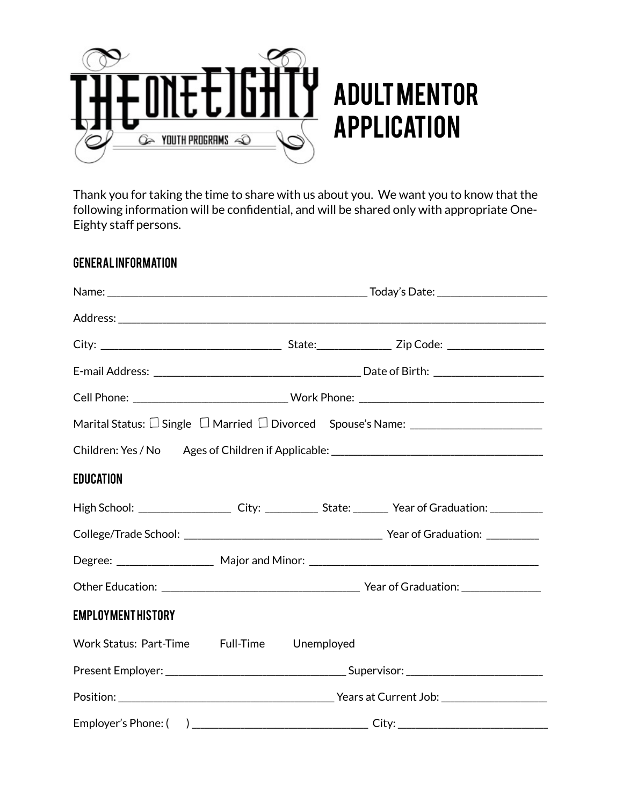

Thank you for taking the time to share with us about you. We want you to know that the following information will be confidential, and will be shared only with appropriate One-Eighty staff persons.

#### GENERAL INFORMATION

| Children: Yes / No Ages of Children if Applicable: ______________________________                              |  |  |  |  |  |
|----------------------------------------------------------------------------------------------------------------|--|--|--|--|--|
| <b>EDUCATION</b>                                                                                               |  |  |  |  |  |
| High School: _________________________ City: _______________ State: __________ Year of Graduation: ___________ |  |  |  |  |  |
|                                                                                                                |  |  |  |  |  |
|                                                                                                                |  |  |  |  |  |
|                                                                                                                |  |  |  |  |  |
| <b>EMPLOYMENTHISTORY</b>                                                                                       |  |  |  |  |  |
| Work Status: Part-Time Full-Time Unemployed                                                                    |  |  |  |  |  |
|                                                                                                                |  |  |  |  |  |
|                                                                                                                |  |  |  |  |  |
| Employer's Phone: () City:                                                                                     |  |  |  |  |  |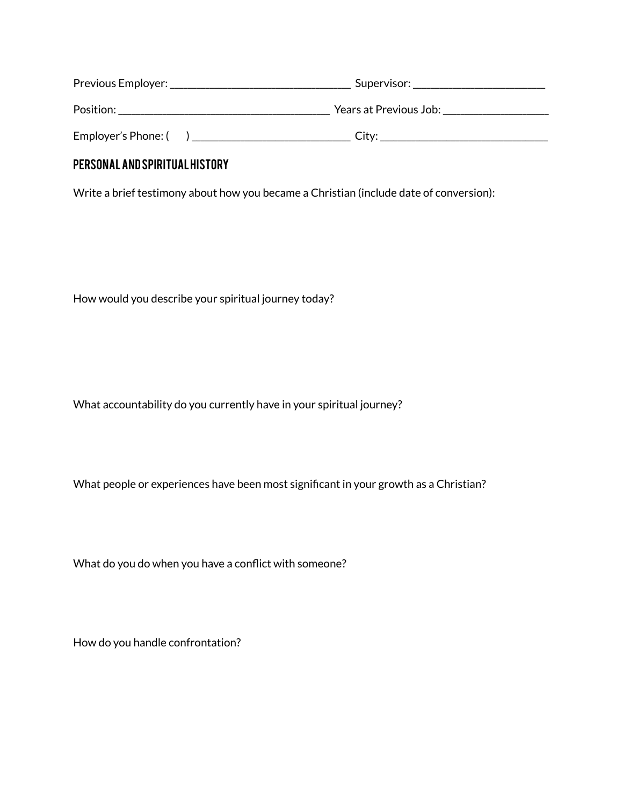| Previous Employer:  | Supervisor:            |
|---------------------|------------------------|
| Position:           | Years at Previous Job: |
| Employer's Phone: ( | Citv <sup>.</sup>      |

# PERSONAL AND SPIRITUAL HISTORY

Write a brief testimony about how you became a Christian (include date of conversion):

How would you describe your spiritual journey today?

What accountability do you currently have in your spiritual journey?

What people or experiences have been most significant in your growth as a Christian?

What do you do when you have a conflict with someone?

How do you handle confrontation?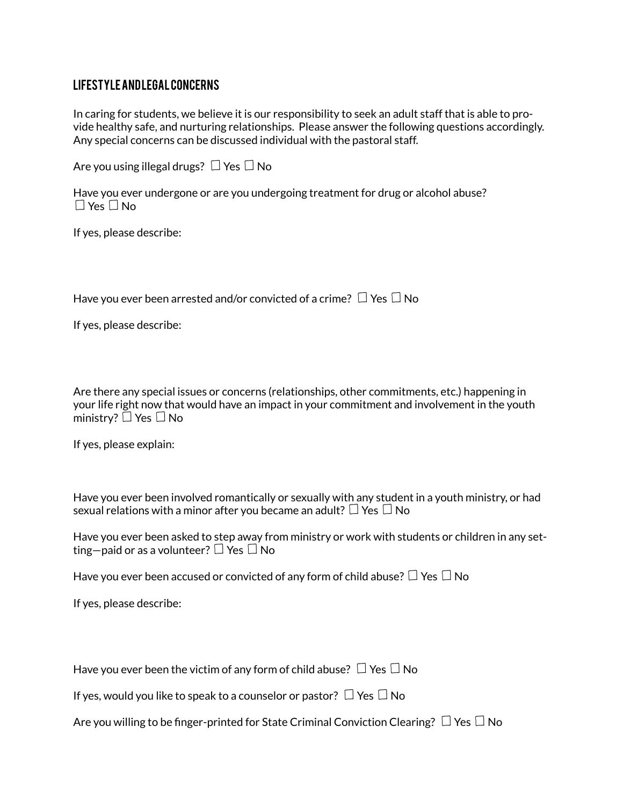### LIFESTYLE AND LEGAL CONCERNS

In caring for students, we believe it is our responsibility to seek an adult staff that is able to provide healthy safe, and nurturing relationships. Please answer the following questions accordingly. Any special concerns can be discussed individual with the pastoral staff.

Are you using illegal drugs?  $\Box$  Yes  $\Box$  No

|                      | Have you ever undergone or are you undergoing treatment for drug or alcohol abuse? |  |
|----------------------|------------------------------------------------------------------------------------|--|
| $\Box$ Yes $\Box$ No |                                                                                    |  |

If yes, please describe:

Have you ever been arrested and/or convicted of a crime?  $\Box$  Yes  $\Box$  No

If yes, please describe:

Are there any special issues or concerns (relationships, other commitments, etc.) happening in your life right now that would have an impact in your commitment and involvement in the youth ministry?  $\square$  Yes  $\square$  No

If yes, please explain:

Have you ever been involved romantically or sexually with any student in a youth ministry, or had sexual relations with a minor after you became an adult?  $\Box$  Yes  $\Box$  No

Have you ever been asked to step away from ministry or work with students or children in any setting—paid or as a volunteer?  $\Box$  Yes  $\Box$  No

Have you ever been accused or convicted of any form of child abuse?  $\Box$  Yes  $\Box$  No

If yes, please describe:

Have you ever been the victim of any form of child abuse?  $\Box$  Yes  $\Box$  No

If yes, would you like to speak to a counselor or pastor?  $\Box$  Yes  $\Box$  No

Are you willing to be finger-printed for State Criminal Conviction Clearing?  $\Box$  Yes  $\Box$  No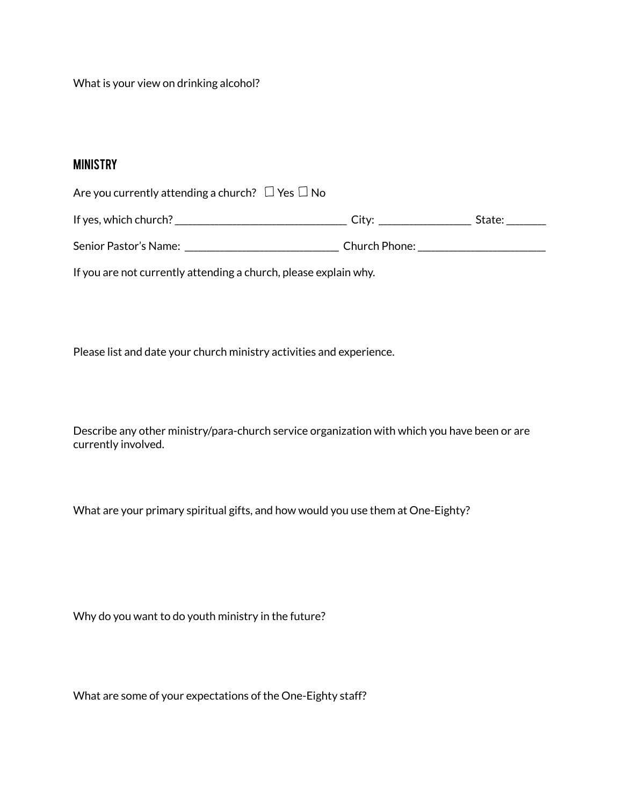What is your view on drinking alcohol?

## MINISTRY

| Are you currently attending a church? $\Box$ Yes $\Box$ No |               |        |
|------------------------------------------------------------|---------------|--------|
| If yes, which church?                                      | City:         | State: |
| Senior Pastor's Name:                                      | Church Phone: |        |

If you are not currently attending a church, please explain why.

Please list and date your church ministry activities and experience.

Describe any other ministry/para-church service organization with which you have been or are currently involved.

What are your primary spiritual gifts, and how would you use them at One-Eighty?

Why do you want to do youth ministry in the future?

What are some of your expectations of the One-Eighty staff?